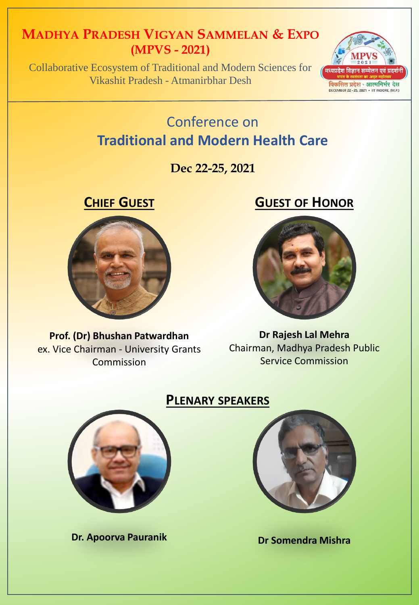#### **MADHYA PRADESH VIGYAN SAMMELAN & EXPO (MPVS - 2021)**

Collaborative Ecosystem of Traditional and Modern Sciences for Vikashit Pradesh - Atmanirbhar Desh



# Conference on **Traditional and Modern Health Care**

**Dec 22-25, 2021**



**Prof. (Dr) Bhushan Patwardhan** ex. Vice Chairman - University Grants Commission

### **CHIEF GUEST GUEST OF HONOR**



**Dr Rajesh Lal Mehra** Chairman, Madhya Pradesh Public Service Commission

#### **PLENARY SPEAKERS**



**Dr. Apoorva Pauranik**



**Dr Somendra Mishra**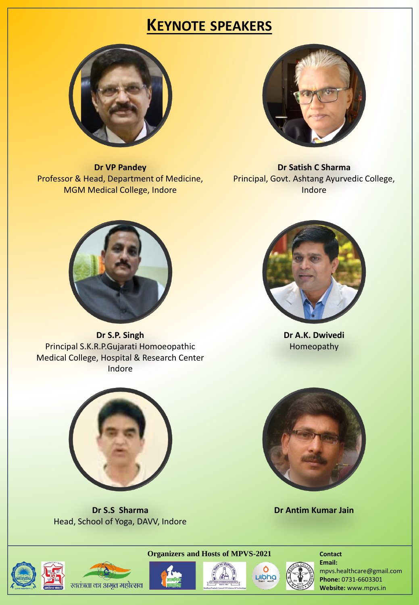## **KEYNOTE SPEAKERS**



Professor & Head, Department of Medicine, Principal, Govt. Ashtang Ayurvedic College, **Dr VP Pandey** MGM Medical College, Indore



**Dr Satish C Sharma** Indore



**Dr S.P. Singh** Principal S.K.R.P.Gujarati Homoeopathic Medical College, Hospital & Research Center Indore



**Dr A.K. Dwivedi** Homeopathy



**Dr S.S Sharma** Head, School of Yoga, DAVV, Indore



**Dr Antim Kumar Jain**











**Contact Email:**  mpvs.healthcare@gmail.com **Phone:** 0731-6603301 **Website:** www.mpvs.in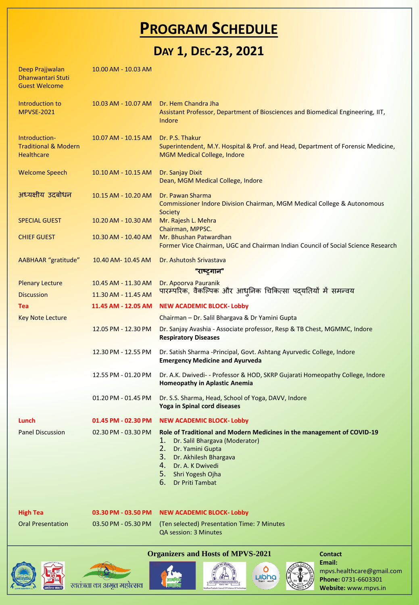# **PROGRAM SCHEDULE**

**DAY 1, DEC-23, 2021**

| Deep Prajjwalan<br>Dhanwantari Stuti<br><b>Guest Welcome</b>          | 10.00 AM - 10.03 AM |                                                                                                                                                                                                                                                |  |  |  |
|-----------------------------------------------------------------------|---------------------|------------------------------------------------------------------------------------------------------------------------------------------------------------------------------------------------------------------------------------------------|--|--|--|
| Introduction to<br><b>MPVSE-2021</b>                                  | 10.03 AM - 10.07 AM | Dr. Hem Chandra Jha<br>Assistant Professor, Department of Biosciences and Biomedical Engineering, IIT,<br>Indore                                                                                                                               |  |  |  |
| Introduction-<br><b>Traditional &amp; Modern</b><br><b>Healthcare</b> | 10.07 AM - 10.15 AM | Dr. P.S. Thakur<br>Superintendent, M.Y. Hospital & Prof. and Head, Department of Forensic Medicine,<br><b>MGM Medical College, Indore</b>                                                                                                      |  |  |  |
| <b>Welcome Speech</b>                                                 | 10.10 AM - 10.15 AM | Dr. Sanjay Dixit<br>Dean, MGM Medical College, Indore                                                                                                                                                                                          |  |  |  |
| अध्यक्षीय उदबोधन                                                      | 10.15 AM - 10.20 AM | Dr. Pawan Sharma<br>Commissioner Indore Division Chairman, MGM Medical College & Autonomous<br>Society                                                                                                                                         |  |  |  |
| <b>SPECIAL GUEST</b>                                                  | 10.20 AM - 10.30 AM | Mr. Rajesh L. Mehra<br>Chairman, MPPSC.                                                                                                                                                                                                        |  |  |  |
| <b>CHIEF GUEST</b>                                                    | 10.30 AM - 10.40 AM | Mr. Bhushan Patwardhan<br>Former Vice Chairman, UGC and Chairman Indian Council of Social Science Research                                                                                                                                     |  |  |  |
| AABHAAR "gratitude"                                                   | 10.40 AM- 10.45 AM  | Dr. Ashutosh Srivastava                                                                                                                                                                                                                        |  |  |  |
| "राष्ट्गान"                                                           |                     |                                                                                                                                                                                                                                                |  |  |  |
| <b>Plenary Lecture</b>                                                | 10.45 AM - 11.30 AM | Dr. Apoorva Pauranik<br><mark>पारम्परिक, वैकल्पिक और आध</mark> ्निक चिकित्सा पदयतियों में समन्वय                                                                                                                                               |  |  |  |
| <b>Discussion</b>                                                     | 11.30 AM - 11.45 AM |                                                                                                                                                                                                                                                |  |  |  |
| Tea                                                                   | 11.45 AM - 12.05 AM | <b>NEW ACADEMIC BLOCK- Lobby</b>                                                                                                                                                                                                               |  |  |  |
| <b>Key Note Lecture</b>                                               |                     | Chairman - Dr. Salil Bhargava & Dr Yamini Gupta                                                                                                                                                                                                |  |  |  |
|                                                                       | 12.05 PM - 12.30 PM | Dr. Sanjay Avashia - Associate professor, Resp & TB Chest, MGMMC, Indore<br><b>Respiratory Diseases</b>                                                                                                                                        |  |  |  |
|                                                                       | 12.30 PM - 12.55 PM | Dr. Satish Sharma - Principal, Govt. Ashtang Ayurvedic College, Indore<br><b>Emergency Medicine and Ayurveda</b>                                                                                                                               |  |  |  |
|                                                                       | 12.55 PM - 01.20 PM | Dr. A.K. Dwivedi- - Professor & HOD, SKRP Gujarati Homeopathy College, Indore<br><b>Homeopathy in Aplastic Anemia</b>                                                                                                                          |  |  |  |
|                                                                       | 01.20 PM - 01.45 PM | Dr. S.S. Sharma, Head, School of Yoga, DAVV, Indore<br><b>Yoga in Spinal cord diseases</b>                                                                                                                                                     |  |  |  |
| Lunch                                                                 | 01.45 PM - 02.30 PM | <b>NEW ACADEMIC BLOCK- Lobby</b>                                                                                                                                                                                                               |  |  |  |
| <b>Panel Discussion</b>                                               | 02.30 PM - 03.30 PM | Role of Traditional and Modern Medicines in the management of COVID-19<br>1.<br>Dr. Salil Bhargava (Moderator)<br>2.<br>Dr. Yamini Gupta<br>3.<br>Dr. Akhilesh Bhargava<br>4. Dr. A. K Dwivedi<br>5. Shri Yogesh Ojha<br>6.<br>Dr Priti Tambat |  |  |  |
| <b>High Tea</b>                                                       | 03.30 PM - 03.50 PM | <b>NEW ACADEMIC BLOCK- Lobby</b>                                                                                                                                                                                                               |  |  |  |
| <b>Oral Presentation</b>                                              | 03.50 PM - 05.30 PM | (Ten selected) Presentation Time: 7 Minutes<br>QA session: 3 Minutes                                                                                                                                                                           |  |  |  |
| <b>Organizers and Hosts of MPVS-2021</b><br><b>Contact</b>            |                     |                                                                                                                                                                                                                                                |  |  |  |









**D'E AD** 



**Contact Email:**  mpvs.healthcare@gmail.com **Phone:** 0731-6603301 **Website:** www.mpvs.in